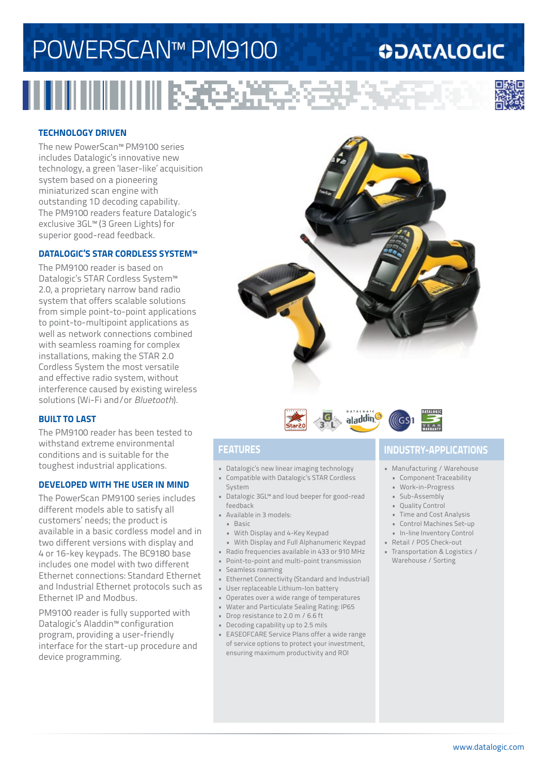# POWERSCAN™ PM9100

### **ODATALOGIC**



#### **TECHNOLOGY DRIVEN**

The new PowerScan™ PM9100 series includes Datalogic's innovative new technology, a green 'laser-like' acquisition system based on a pioneering miniaturized scan engine with outstanding 1D decoding capability. The PM9100 readers feature Datalogic's exclusive 3GL™ (3 Green Lights) for superior good-read feedback.

#### **DATALOGIC'S STAR CORDLESS SYSTEM™**

The PM9100 reader is based on Datalogic's STAR Cordless System™ 2.0, a proprietary narrow band radio system that offers scalable solutions from simple point-to-point applications to point-to-multipoint applications as well as network connections combined with seamless roaming for complex installations, making the STAR 2.0 Cordless System the most versatile and effective radio system, without interference caused by existing wireless solutions (Wi-Fi and/or *Bluetooth*).

#### **BUILT TO LAST**

The PM9100 reader has been tested to withstand extreme environmental conditions and is suitable for the toughest industrial applications.

#### **DEVELOPED WITH THE USER IN MIND**

The PowerScan PM9100 series includes different models able to satisfy all customers' needs; the product is available in a basic cordless model and in two different versions with display and 4 or 16-key keypads. The BC9180 base includes one model with two different Ethernet connections: Standard Ethernet and Industrial Ethernet protocols such as Ethernet IP and Modbus.

PM9100 reader is fully supported with Datalogic's Aladdin™ configuration program, providing a user-friendly interface for the start-up procedure and device programming.





- Datalogic's new linear imaging technology
- Compatible with Datalogic's STAR Cordless System
- Datalogic 3GL™ and loud beeper for good-read feedback
- Available in 3 models:
- Basic
- With Display and 4-Key Keypad
- With Display and Full Alphanumeric Keypad
- Radio frequencies available in 433 or 910 MHz
- Point-to-point and multi-point transmission
- Seamless roaming
- Ethernet Connectivity (Standard and Industrial)
- User replaceable Lithium-Ion battery
- Operates over a wide range of temperatures
- Water and Particulate Sealing Rating: IP65
- Drop resistance to 2.0 m / 6.6 ft
- Decoding capability up to 2.5 mils
- EASEOFCARE Service Plans offer a wide range of service options to protect your investment, ensuring maximum productivity and ROI

### **FEATURES INDUSTRY-APPLICATIONS**

- Manufacturing / Warehouse
	- Component Traceability
	- Work-in-Progress
	- Sub-Assembly
	- Quality Control
	- Time and Cost Analysis
	- Control Machines Set-up
- In-line Inventory Control
- Retail / POS Check-out
- Transportation & Logistics / Warehouse / Sorting